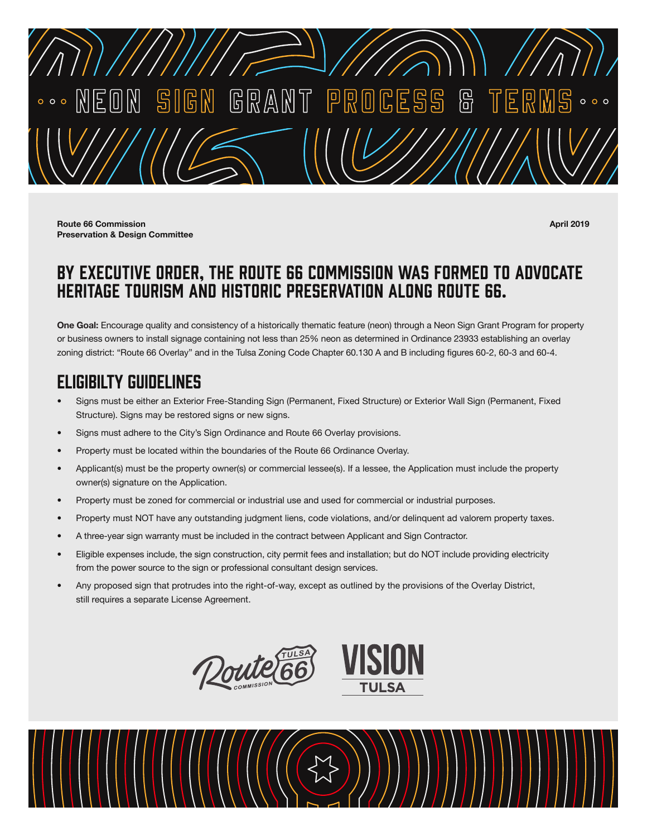

Route 66 Commission Preservation & Design Committee April 2019

### By Executive Order, the Route 66 Commission was formed to advocate heritage tourism and historic preservation along Route 66.

One Goal: Encourage quality and consistency of a historically thematic feature (neon) through a Neon Sign Grant Program for property or business owners to install signage containing not less than 25% neon as determined in Ordinance 23933 establishing an overlay zoning district: "Route 66 Overlay" and in the Tulsa Zoning Code Chapter 60.130 A and B including figures 60-2, 60-3 and 60-4.

### ELIGIBILTY GUIDELINES

- Signs must be either an Exterior Free-Standing Sign (Permanent, Fixed Structure) or Exterior Wall Sign (Permanent, Fixed Structure). Signs may be restored signs or new signs.
- Signs must adhere to the City's Sign Ordinance and Route 66 Overlay provisions.
- Property must be located within the boundaries of the Route 66 Ordinance Overlay.
- Applicant(s) must be the property owner(s) or commercial lessee(s). If a lessee, the Application must include the property owner(s) signature on the Application.
- Property must be zoned for commercial or industrial use and used for commercial or industrial purposes.
- Property must NOT have any outstanding judgment liens, code violations, and/or delinquent ad valorem property taxes.
- A three-year sign warranty must be included in the contract between Applicant and Sign Contractor.
- Eligible expenses include, the sign construction, city permit fees and installation; but do NOT include providing electricity from the power source to the sign or professional consultant design services.
- Any proposed sign that protrudes into the right-of-way, except as outlined by the provisions of the Overlay District, still requires a separate License Agreement.



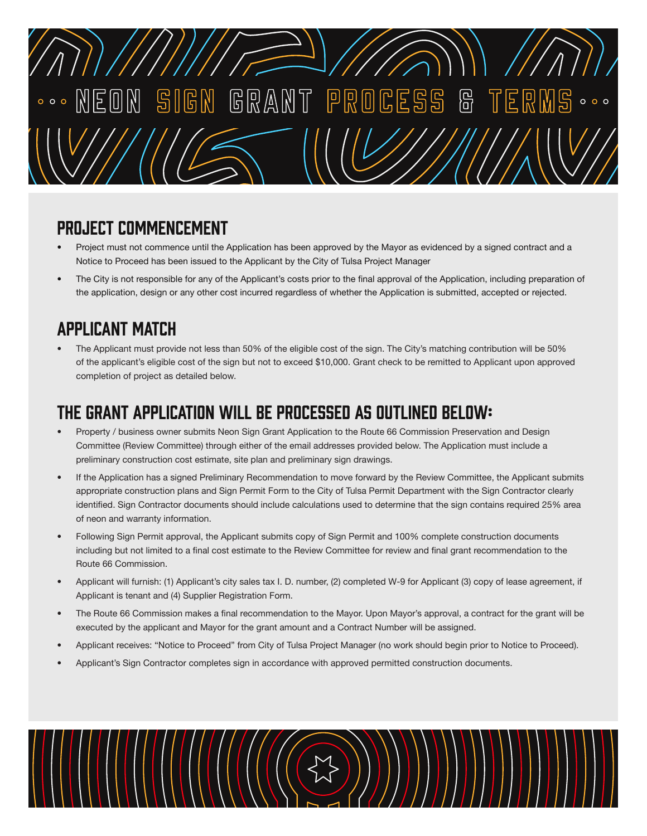## ... NEON SIGN GRANT PROCESS & T 旧职

### PROJECT COMMENCEMENT

- Project must not commence until the Application has been approved by the Mayor as evidenced by a signed contract and a Notice to Proceed has been issued to the Applicant by the City of Tulsa Project Manager
- The City is not responsible for any of the Applicant's costs prior to the final approval of the Application, including preparation of the application, design or any other cost incurred regardless of whether the Application is submitted, accepted or rejected.

### APPLICANT MATCH

• The Applicant must provide not less than 50% of the eligible cost of the sign. The City's matching contribution will be 50% of the applicant's eligible cost of the sign but not to exceed \$10,000. Grant check to be remitted to Applicant upon approved completion of project as detailed below.

### THE GRANT APPLICATION WILL BE PROCESSED AS OUTLINED BELOW:

- Property / business owner submits Neon Sign Grant Application to the Route 66 Commission Preservation and Design Committee (Review Committee) through either of the email addresses provided below. The Application must include a preliminary construction cost estimate, site plan and preliminary sign drawings.
- If the Application has a signed Preliminary Recommendation to move forward by the Review Committee, the Applicant submits appropriate construction plans and Sign Permit Form to the City of Tulsa Permit Department with the Sign Contractor clearly identified. Sign Contractor documents should include calculations used to determine that the sign contains required 25% area of neon and warranty information.
- Following Sign Permit approval, the Applicant submits copy of Sign Permit and 100% complete construction documents including but not limited to a final cost estimate to the Review Committee for review and final grant recommendation to the Route 66 Commission.
- Applicant will furnish: (1) Applicant's city sales tax I. D. number, (2) completed W-9 for Applicant (3) copy of lease agreement, if Applicant is tenant and (4) Supplier Registration Form.
- The Route 66 Commission makes a final recommendation to the Mayor. Upon Mayor's approval, a contract for the grant will be executed by the applicant and Mayor for the grant amount and a Contract Number will be assigned.
- Applicant receives: "Notice to Proceed" from City of Tulsa Project Manager (no work should begin prior to Notice to Proceed).
- Applicant's Sign Contractor completes sign in accordance with approved permitted construction documents.

 $\frac{1}{2}$